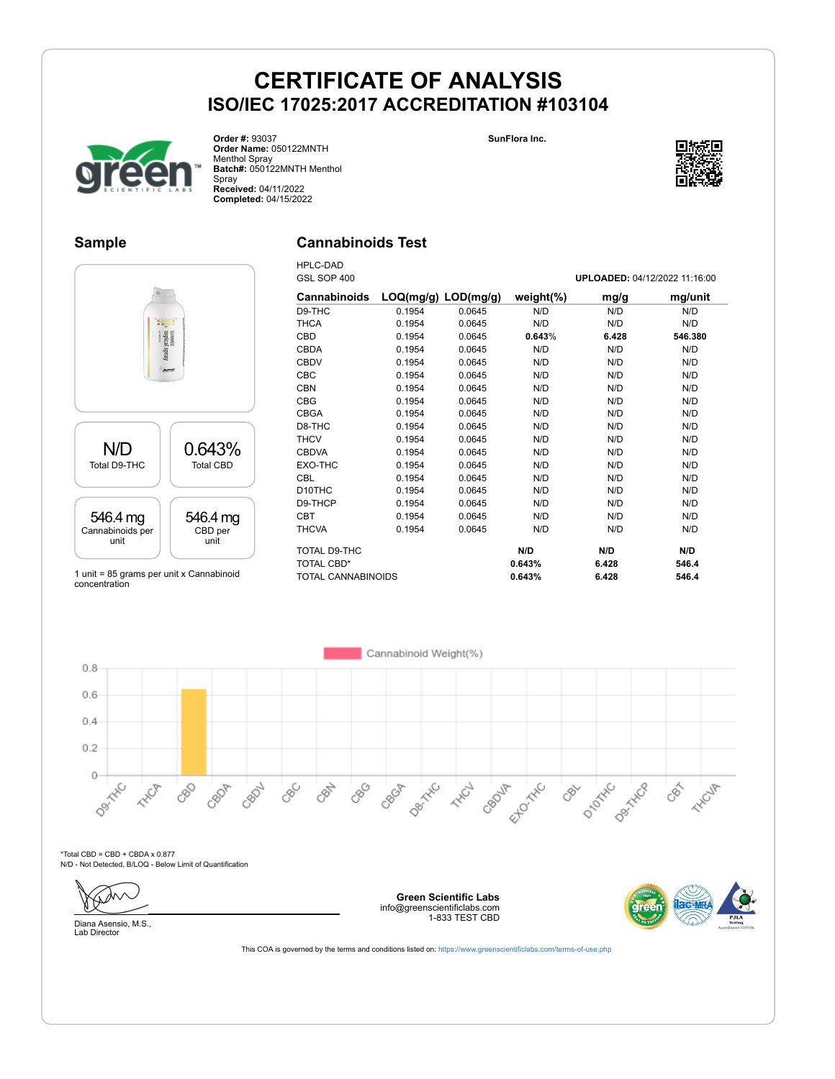



**Order #:** 93037 **Order Name:** 050122MNTH Menthol Spray **Batch#:** 050122MNTH Menthol Spray **Received:** 04/11/2022 **Completed:** 04/15/2022

#### **Sample**

#### **Cannabinoids Test**



1 unit = 85 grams per unit x Cannabinoid concentration

| <b>HPLC-DAD</b>     |                         |        |               |                               |         |
|---------------------|-------------------------|--------|---------------|-------------------------------|---------|
| GSL SOP 400         |                         |        |               | UPLOADED: 04/12/2022 11:16:00 |         |
| <b>Cannabinoids</b> | $LOQ(mg/g)$ $LOD(mg/g)$ |        | weight $(\%)$ | mg/g                          | mg/unit |
| D9-THC              | 0.1954                  | 0.0645 | N/D           | N/D                           | N/D     |
| <b>THCA</b>         | 0.1954                  | 0.0645 | N/D           | N/D                           | N/D     |
| <b>CBD</b>          | 0.1954                  | 0.0645 | 0.643%        | 6.428                         | 546.380 |
| <b>CBDA</b>         | 0.1954                  | 0.0645 | N/D           | N/D                           | N/D     |
| <b>CBDV</b>         | 0.1954                  | 0.0645 | N/D           | N/D                           | N/D     |
| <b>CBC</b>          | 0.1954                  | 0.0645 | N/D           | N/D                           | N/D     |
| <b>CBN</b>          | 0.1954                  | 0.0645 | N/D           | N/D                           | N/D     |
| <b>CBG</b>          | 0.1954                  | 0.0645 | N/D           | N/D                           | N/D     |
| <b>CBGA</b>         | 0.1954                  | 0.0645 | N/D           | N/D                           | N/D     |
| D8-THC              | 0.1954                  | 0.0645 | N/D           | N/D                           | N/D     |
| <b>THCV</b>         | 0.1954                  | 0.0645 | N/D           | N/D                           | N/D     |
| <b>CBDVA</b>        | 0.1954                  | 0.0645 | N/D           | N/D                           | N/D     |
| EXO-THC             | 0.1954                  | 0.0645 | N/D           | N/D                           | N/D     |
| <b>CBL</b>          | 0.1954                  | 0.0645 | N/D           | N/D                           | N/D     |
| D <sub>10</sub> THC | 0.1954                  | 0.0645 | N/D           | N/D                           | N/D     |
| D9-THCP             | 0.1954                  | 0.0645 | N/D           | N/D                           | N/D     |
| <b>CBT</b>          | 0.1954                  | 0.0645 | N/D           | N/D                           | N/D     |
| <b>THCVA</b>        | 0.1954                  | 0.0645 | N/D           | N/D                           | N/D     |
| TOTAL D9-THC        |                         |        | N/D           | N/D                           | N/D     |
| <b>TOTAL CBD*</b>   |                         |        | 0.643%        | 6.428                         | 546.4   |
| TOTAL CANNABINOIDS  |                         |        | 0.643%        | 6.428                         | 546.4   |



 $*$ Total CBD = CBD + CBDA x 0.877 N/D - Not Detected, B/LOQ - Below Limit of Quantification

Diana Asensio, M.S.,

Lab Director

**Green Scientific Labs** info@greenscientificlabs.com 1-833 TEST CBD

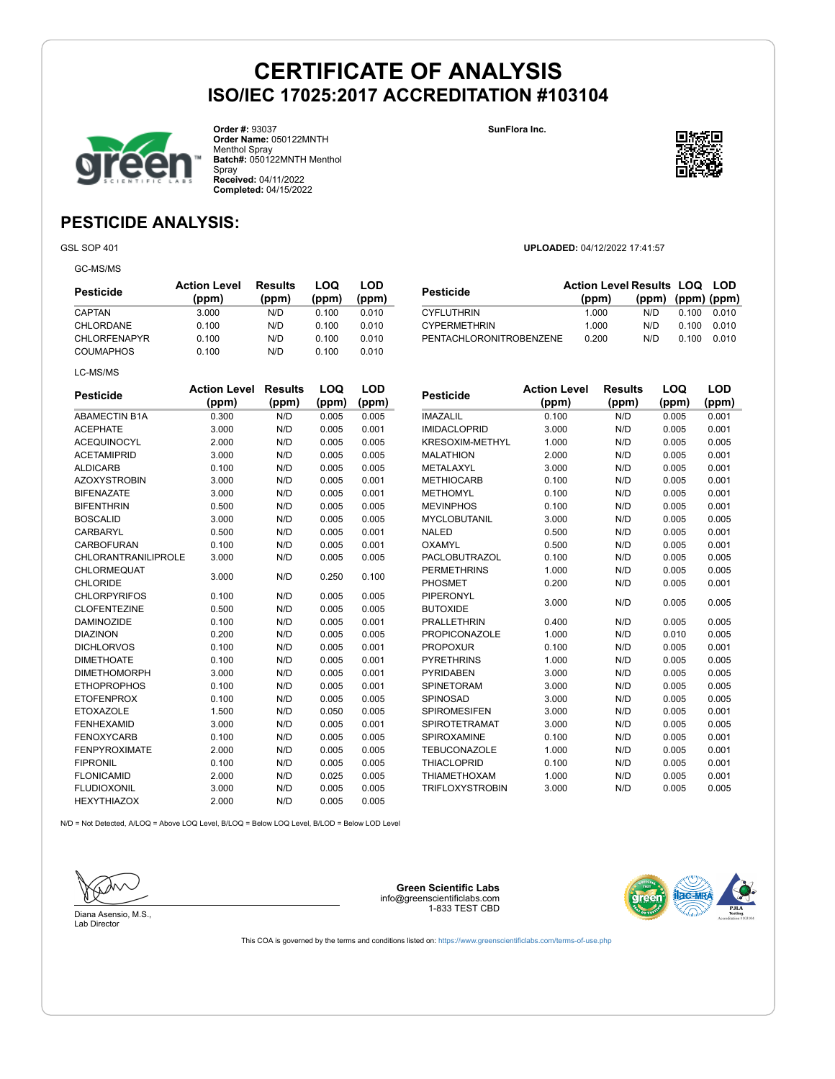

**Order #:** 93037 **Order Name:** 050122MNTH Menthol Spray **Batch#:** 050122MNTH Menthol Spray **Received:** 04/11/2022 **Completed:** 04/15/2022

**SunFlora Inc.**



**(ppm) (ppm) (ppm)**

### **PESTICIDE ANALYSIS:**

GSL SOP 401 **UPLOADED:** 04/12/2022 17:41:57

GC-MS/MS

| Pesticide           | <b>Action Level</b><br>(ppm) | Results<br>(ppm) | LOQ<br>(ppm) | LOD<br>(ppm) |
|---------------------|------------------------------|------------------|--------------|--------------|
| CAPTAN              | 3.000                        | N/D              | 0.100        | 0.010        |
| CHLORDANE           | 0.100                        | N/D              | 0.100        | 0.010        |
| <b>CHLORFENAPYR</b> | 0.100                        | N/D              | 0.100        | 0.010        |
| <b>COUMAPHOS</b>    | 0.100                        | N/D              | 0.100        | 0.010        |
| LC-MS/MS            |                              |                  |              |              |

| <b>Pesticide</b>                      | <b>Action Level</b><br>(ppm) | <b>Results</b><br>(ppm) | LOQ<br>(ppm) | LOD<br>(ppm) |
|---------------------------------------|------------------------------|-------------------------|--------------|--------------|
| <b>ABAMECTIN B1A</b>                  | 0.300                        | N/D                     | 0.005        | 0.005        |
| <b>ACEPHATE</b>                       | 3.000                        | N/D                     | 0.005        | 0.001        |
| <b>ACEQUINOCYL</b>                    | 2.000                        | N/D                     | 0.005        | 0.005        |
| <b>ACETAMIPRID</b>                    | 3.000                        | N/D                     | 0.005        | 0.005        |
| <b>ALDICARB</b>                       | 0.100                        | N/D                     | 0.005        | 0.005        |
| <b>AZOXYSTROBIN</b>                   | 3.000                        | N/D                     | 0.005        | 0.001        |
| <b>BIFENAZATE</b>                     | 3.000                        | N/D                     | 0.005        | 0.001        |
| <b>BIFENTHRIN</b>                     | 0.500                        | N/D                     | 0.005        | 0.005        |
| <b>BOSCALID</b>                       | 3.000                        | N/D                     | 0.005        | 0.005        |
| <b>CARBARYL</b>                       | 0.500                        | N/D                     | 0.005        | 0.001        |
| <b>CARBOFURAN</b>                     | 0.100                        | N/D                     | 0.005        | 0.001        |
| <b>CHLORANTRANILIPROLE</b>            | 3.000                        | N/D                     | 0.005        | 0.005        |
| <b>CHLORMEQUAT</b><br><b>CHLORIDE</b> | 3.000                        | N/D                     | 0.250        | 0.100        |
| <b>CHLORPYRIFOS</b>                   | 0.100                        | N/D                     | 0.005        | 0.005        |
| <b>CLOFENTEZINE</b>                   | 0.500                        | N/D                     | 0.005        | 0.005        |
| <b>DAMINOZIDE</b>                     | 0.100                        | N/D                     | 0.005        | 0.001        |
| <b>DIAZINON</b>                       | 0.200                        | N/D                     | 0.005        | 0.005        |
| <b>DICHLORVOS</b>                     | 0.100                        | N/D                     | 0.005        | 0.001        |
| <b>DIMETHOATE</b>                     | 0.100                        | N/D                     | 0.005        | 0.001        |
| <b>DIMETHOMORPH</b>                   | 3.000                        | N/D                     | 0.005        | 0.001        |
| <b>ETHOPROPHOS</b>                    | 0.100                        | N/D                     | 0.005        | 0.001        |
| <b>ETOFENPROX</b>                     | 0.100                        | N/D                     | 0.005        | 0.005        |
| <b>ETOXAZOLE</b>                      | 1.500                        | N/D                     | 0.050        | 0.005        |
| <b>FENHEXAMID</b>                     | 3.000                        | N/D                     | 0.005        | 0.001        |
| <b>FENOXYCARB</b>                     | 0.100                        | N/D                     | 0.005        | 0.005        |
| <b>FENPYROXIMATE</b>                  | 2.000                        | N/D                     | 0.005        | 0.005        |
| <b>FIPRONIL</b>                       | 0.100                        | N/D                     | 0.005        | 0.005        |
| <b>FLONICAMID</b>                     | 2.000                        | N/D                     | 0.025        | 0.005        |
| <b>FLUDIOXONIL</b>                    | 3.000                        | N/D                     | 0.005        | 0.005        |
| <b>HEXYTHIAZOX</b>                    | 2.000                        | N/D                     | 0.005        | 0.005        |

| <b>Pesticide</b>       | <b>Action Level</b><br>(ppm) | <b>Results</b><br>(ppm) | LOQ<br>(ppm) | LOD<br>(ppm) |
|------------------------|------------------------------|-------------------------|--------------|--------------|
| <b>IMAZALIL</b>        | 0.100                        | N/D                     | 0.005        | 0.001        |
| <b>IMIDACLOPRID</b>    | 3.000                        | N/D                     | 0.005        | 0.001        |
| <b>KRESOXIM-METHYL</b> | 1.000                        | N/D                     | 0.005        | 0.005        |
| <b>MALATHION</b>       | 2.000                        | N/D                     | 0.005        | 0.001        |
| METALAXYL              | 3.000                        | N/D                     | 0.005        | 0.001        |
| <b>METHIOCARB</b>      | 0.100                        | N/D                     | 0.005        | 0.001        |
| <b>METHOMYL</b>        | 0.100                        | N/D                     | 0.005        | 0.001        |
| <b>MEVINPHOS</b>       | 0.100                        | N/D                     | 0.005        | 0.001        |
| <b>MYCLOBUTANIL</b>    | 3.000                        | N/D                     | 0.005        | 0.005        |
| <b>NALED</b>           | 0.500                        | N/D                     | 0.005        | 0.001        |
| OXAMYL                 | 0.500                        | N/D                     | 0.005        | 0.001        |
| <b>PACLOBUTRAZOL</b>   | 0.100                        | N/D                     | 0.005        | 0.005        |
| <b>PERMETHRINS</b>     | 1.000                        | N/D                     | 0.005        | 0.005        |
| <b>PHOSMET</b>         | 0.200                        | N/D                     | 0.005        | 0.001        |
| PIPERONYL              | 3.000                        | N/D                     | 0.005        | 0.005        |
| <b>BUTOXIDE</b>        |                              |                         |              |              |
| <b>PRALLETHRIN</b>     | 0.400                        | N/D                     | 0.005        | 0.005        |
| <b>PROPICONAZOLE</b>   | 1.000                        | N/D                     | 0.010        | 0.005        |
| <b>PROPOXUR</b>        | 0.100                        | N/D                     | 0.005        | 0.001        |
| <b>PYRETHRINS</b>      | 1.000                        | N/D                     | 0.005        | 0.005        |
| <b>PYRIDABEN</b>       | 3.000                        | N/D                     | 0.005        | 0.005        |
| <b>SPINETORAM</b>      | 3.000                        | N/D                     | 0.005        | 0.005        |
| <b>SPINOSAD</b>        | 3.000                        | N/D                     | 0.005        | 0.005        |
| <b>SPIROMESIFEN</b>    | 3.000                        | N/D                     | 0.005        | 0.001        |
| <b>SPIROTETRAMAT</b>   | 3.000                        | N/D                     | 0.005        | 0.005        |
| <b>SPIROXAMINE</b>     | 0.100                        | N/D                     | 0.005        | 0.001        |
| <b>TEBUCONAZOLE</b>    | 1.000                        | N/D                     | 0.005        | 0.001        |
| <b>THIACLOPRID</b>     | 0.100                        | N/D                     | 0.005        | 0.001        |
| <b>THIAMETHOXAM</b>    | 1.000                        | N/D                     | 0.005        | 0.001        |
| <b>TRIFLOXYSTROBIN</b> | 3.000                        | N/D                     | 0.005        | 0.005        |

**Pesticide Action Level Results LOQ LOD (ppm)**

CYFLUTHRIN 1.000 N/D 0.100 0.010<br>CYPERMETHRIN 1.000 N/D 0.100 0.010 CYPERMETHRIN 1.000 N/D 0.100 0.010 PENTACHLORONITROBENZENE 0.200 N/D 0.100 0.010

N/D = Not Detected, A/LOQ = Above LOQ Level, B/LOQ = Below LOQ Level, B/LOD = Below LOD Level



Diana Asensio, M.S., Lab Director

**Green Scientific Labs** info@greenscientificlabs.com 1-833 TEST CBD

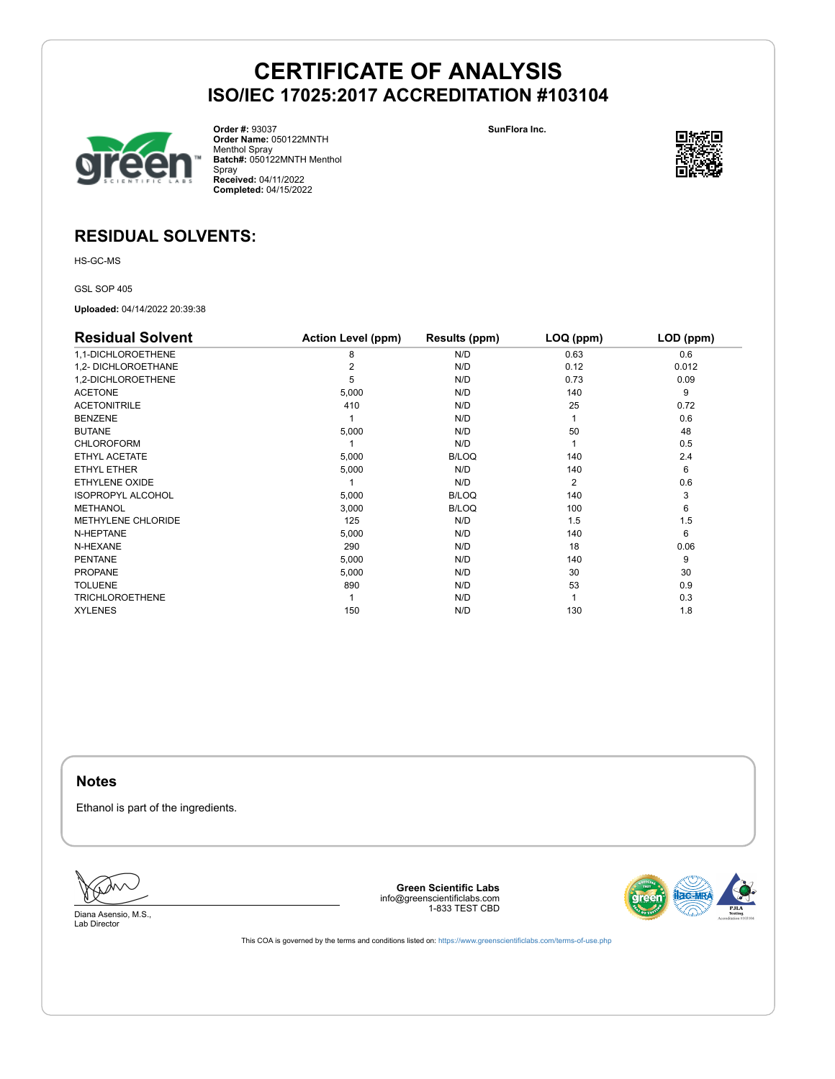

**Order #:** 93037 **Order Name:** 050122MNTH Menthol Spray **Batch#:** 050122MNTH Menthol Spray **Received:** 04/11/2022 **Completed:** 04/15/2022

**SunFlora Inc.**



### **RESIDUAL SOLVENTS:**

HS-GC-MS

GSL SOP 405

**Uploaded:** 04/14/2022 20:39:38

| <b>Residual Solvent</b>   | <b>Action Level (ppm)</b> | Results (ppm) | LOQ (ppm)      | LOD (ppm) |
|---------------------------|---------------------------|---------------|----------------|-----------|
| 1,1-DICHLOROETHENE        | 8                         | N/D           | 0.63           | 0.6       |
| 1.2- DICHLOROETHANE       |                           | N/D           | 0.12           | 0.012     |
| 1,2-DICHLOROETHENE        | 5                         | N/D           | 0.73           | 0.09      |
| <b>ACETONE</b>            | 5,000                     | N/D           | 140            | 9         |
| <b>ACETONITRILE</b>       | 410                       | N/D           | 25             | 0.72      |
| <b>BENZENE</b>            |                           | N/D           |                | 0.6       |
| <b>BUTANE</b>             | 5,000                     | N/D           | 50             | 48        |
| <b>CHLOROFORM</b>         |                           | N/D           |                | 0.5       |
| ETHYL ACETATE             | 5,000                     | <b>B/LOQ</b>  | 140            | 2.4       |
| ETHYL ETHER               | 5,000                     | N/D           | 140            | 6         |
| ETHYLENE OXIDE            |                           | N/D           | $\overline{2}$ | 0.6       |
| <b>ISOPROPYL ALCOHOL</b>  | 5,000                     | <b>B/LOQ</b>  | 140            | 3         |
| <b>METHANOL</b>           | 3,000                     | <b>B/LOQ</b>  | 100            | 6         |
| <b>METHYLENE CHLORIDE</b> | 125                       | N/D           | 1.5            | 1.5       |
| N-HEPTANE                 | 5,000                     | N/D           | 140            | 6         |
| N-HEXANE                  | 290                       | N/D           | 18             | 0.06      |
| <b>PENTANE</b>            | 5,000                     | N/D           | 140            | 9         |
| <b>PROPANE</b>            | 5,000                     | N/D           | 30             | 30        |
| <b>TOLUENE</b>            | 890                       | N/D           | 53             | 0.9       |
| <b>TRICHLOROETHENE</b>    |                           | N/D           |                | 0.3       |
| <b>XYLENES</b>            | 150                       | N/D           | 130            | 1.8       |

**Notes**

Ethanol is part of the ingredients.

Diana Asensio, M.S., Lab Director

**Green Scientific Labs** info@greenscientificlabs.com 1-833 TEST CBD

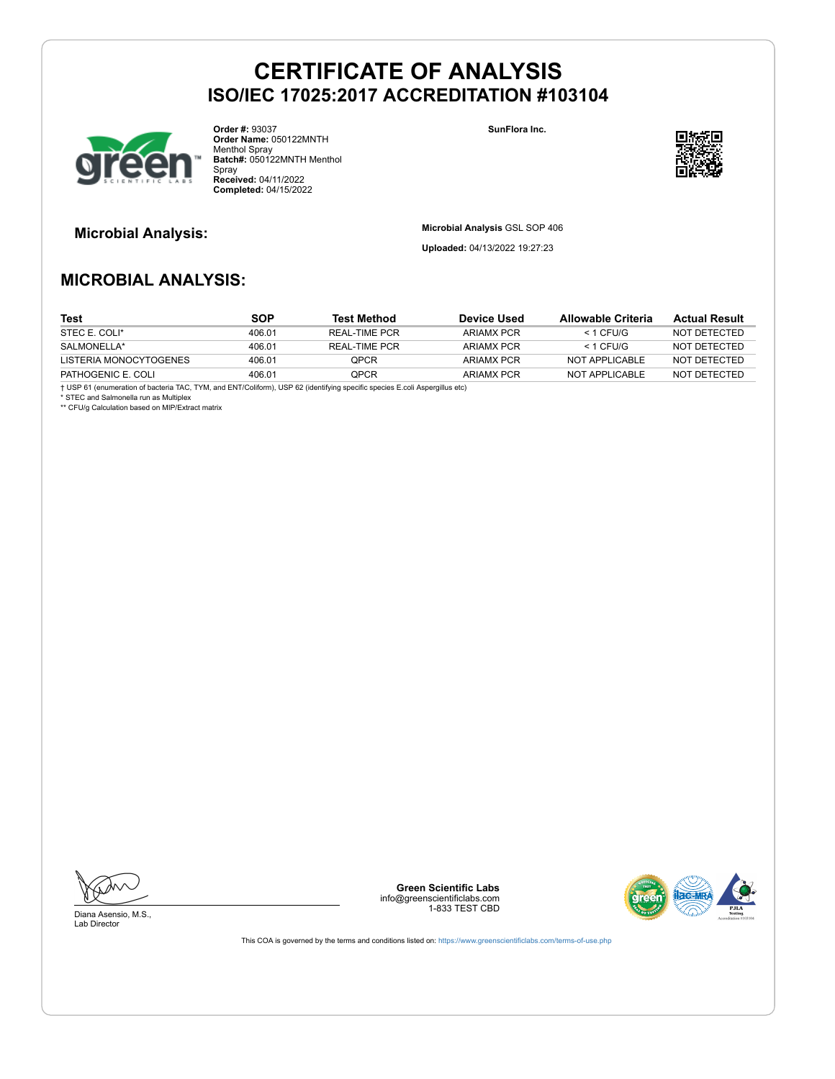

**Order #:** 93037 **Order Name:** 050122MNTH Menthol Spray **Batch#:** 050122MNTH Menthol Spray **Received:** 04/11/2022 **Completed:** 04/15/2022

**SunFlora Inc.**



**Microbial Analysis: Microbial Analysis** GSL SOP 406

**Uploaded:** 04/13/2022 19:27:23

### **MICROBIAL ANALYSIS:**

| Test                   | <b>SOP</b> | <b>Test Method</b> | Device Used | Allowable Criteria | <b>Actual Result</b> |
|------------------------|------------|--------------------|-------------|--------------------|----------------------|
| STEC E. COLI*          | 406.01     | REAL-TIME PCR      | ARIAMX PCR  | $<$ 1 CFU/G        | NOT DETECTED         |
| SALMONELLA*            | 406.01     | REAL-TIME PCR      | ARIAMX PCR  | $<$ 1 CFU/G        | NOT DETECTED         |
| LISTERIA MONOCYTOGENES | 406.01     | <b>OPCR</b>        | ARIAMX PCR  | NOT APPLICABLE     | NOT DETECTED         |
| PATHOGENIC E. COLI     | 406.01     | OPCR               | ARIAMX PCR  | NOT APPLICABLE     | NOT DETECTED         |

† USP 61 (enumeration of bacteria TAC, TYM, and ENT/Coliform), USP 62 (identifying specific species E.coli Aspergillus etc)

\* STEC and Salmonella run as Multiplex \*\* CFU/g Calculation based on MIP/Extract matrix

Diana Asensio, M.S., Lab Director

**Green Scientific Labs** info@greenscientificlabs.com 1-833 TEST CBD